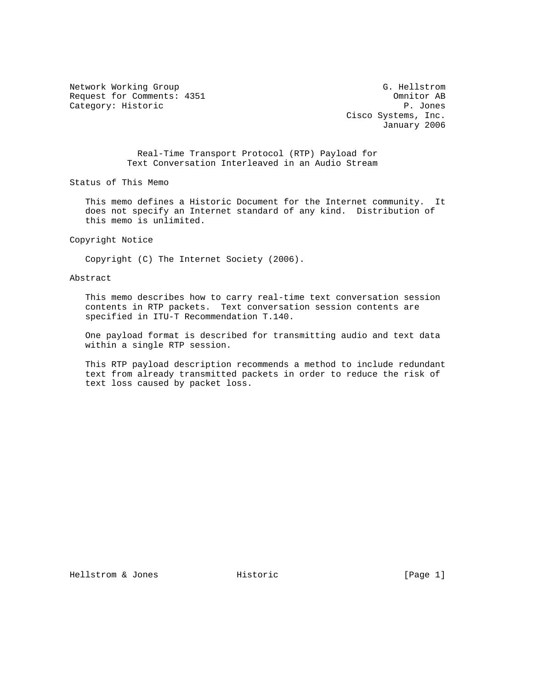Network Working Group G. Hellstrom G. Hellstrom Request for Comments: 4351 Omnitor AB Category: Historic AB Category: Historic Category: Historic

 Cisco Systems, Inc. January 2006

 Real-Time Transport Protocol (RTP) Payload for Text Conversation Interleaved in an Audio Stream

Status of This Memo

 This memo defines a Historic Document for the Internet community. It does not specify an Internet standard of any kind. Distribution of this memo is unlimited.

Copyright Notice

Copyright (C) The Internet Society (2006).

#### Abstract

 This memo describes how to carry real-time text conversation session contents in RTP packets. Text conversation session contents are specified in ITU-T Recommendation T.140.

 One payload format is described for transmitting audio and text data within a single RTP session.

 This RTP payload description recommends a method to include redundant text from already transmitted packets in order to reduce the risk of text loss caused by packet loss.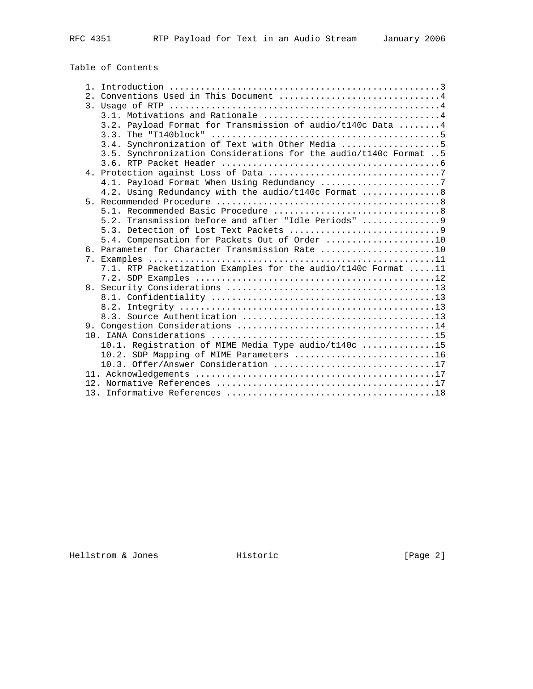# Table of Contents

|  | 2. Conventions Used in This Document 4                           |
|--|------------------------------------------------------------------|
|  |                                                                  |
|  |                                                                  |
|  | 3.2. Payload Format for Transmission of audio/t140c Data 4       |
|  | 3.3. The "T140block"                                             |
|  | 3.4. Synchronization of Text with Other Media 5                  |
|  | 3.5. Synchronization Considerations for the audio/t140c Format 5 |
|  |                                                                  |
|  |                                                                  |
|  | 4.1. Payload Format When Using Redundancy 7                      |
|  | 4.2. Using Redundancy with the audio/t140c Format  8             |
|  |                                                                  |
|  |                                                                  |
|  | 5.2. Transmission before and after "Idle Periods" 9              |
|  |                                                                  |
|  | 5.4. Compensation for Packets Out of Order 10                    |
|  | 6. Parameter for Character Transmission Rate 10                  |
|  |                                                                  |
|  | 7.1. RTP Packetization Examples for the audio/t140c Format 11    |
|  |                                                                  |
|  |                                                                  |
|  |                                                                  |
|  |                                                                  |
|  |                                                                  |
|  |                                                                  |
|  |                                                                  |
|  | 10.1. Registration of MIME Media Type audio/t140c 15             |
|  | 10.2. SDP Mapping of MIME Parameters 16                          |
|  | 10.3. Offer/Answer Consideration 17                              |
|  |                                                                  |
|  |                                                                  |
|  |                                                                  |
|  |                                                                  |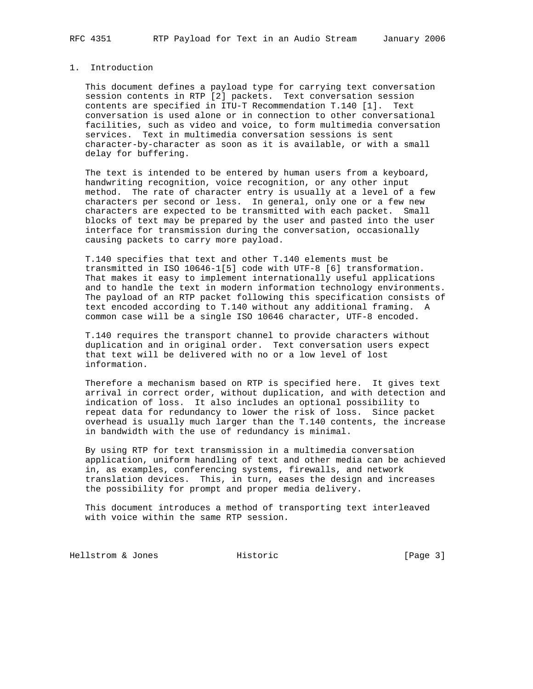### 1. Introduction

 This document defines a payload type for carrying text conversation session contents in RTP [2] packets. Text conversation session contents are specified in ITU-T Recommendation T.140 [1]. Text conversation is used alone or in connection to other conversational facilities, such as video and voice, to form multimedia conversation services. Text in multimedia conversation sessions is sent character-by-character as soon as it is available, or with a small delay for buffering.

 The text is intended to be entered by human users from a keyboard, handwriting recognition, voice recognition, or any other input method. The rate of character entry is usually at a level of a few characters per second or less. In general, only one or a few new characters are expected to be transmitted with each packet. Small blocks of text may be prepared by the user and pasted into the user interface for transmission during the conversation, occasionally causing packets to carry more payload.

 T.140 specifies that text and other T.140 elements must be transmitted in ISO 10646-1[5] code with UTF-8 [6] transformation. That makes it easy to implement internationally useful applications and to handle the text in modern information technology environments. The payload of an RTP packet following this specification consists of text encoded according to T.140 without any additional framing. A common case will be a single ISO 10646 character, UTF-8 encoded.

 T.140 requires the transport channel to provide characters without duplication and in original order. Text conversation users expect that text will be delivered with no or a low level of lost information.

 Therefore a mechanism based on RTP is specified here. It gives text arrival in correct order, without duplication, and with detection and indication of loss. It also includes an optional possibility to repeat data for redundancy to lower the risk of loss. Since packet overhead is usually much larger than the T.140 contents, the increase in bandwidth with the use of redundancy is minimal.

 By using RTP for text transmission in a multimedia conversation application, uniform handling of text and other media can be achieved in, as examples, conferencing systems, firewalls, and network translation devices. This, in turn, eases the design and increases the possibility for prompt and proper media delivery.

 This document introduces a method of transporting text interleaved with voice within the same RTP session.

Hellstrom & Jones Historic [Page 3]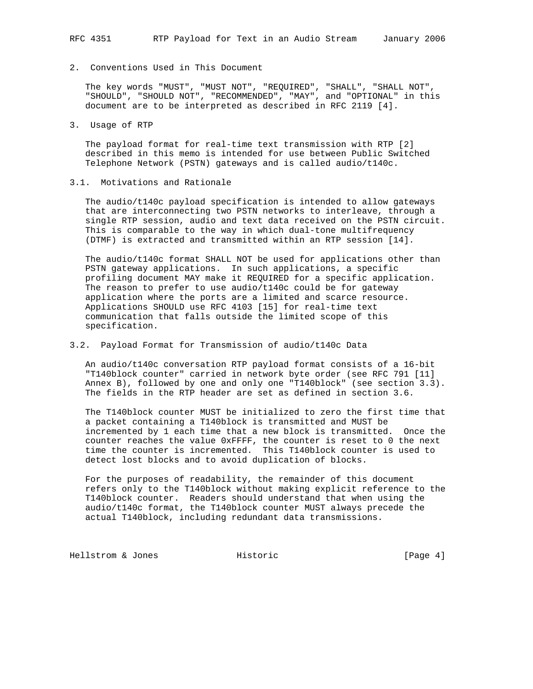# 2. Conventions Used in This Document

 The key words "MUST", "MUST NOT", "REQUIRED", "SHALL", "SHALL NOT", "SHOULD", "SHOULD NOT", "RECOMMENDED", "MAY", and "OPTIONAL" in this document are to be interpreted as described in RFC 2119 [4].

3. Usage of RTP

 The payload format for real-time text transmission with RTP [2] described in this memo is intended for use between Public Switched Telephone Network (PSTN) gateways and is called audio/t140c.

# 3.1. Motivations and Rationale

 The audio/t140c payload specification is intended to allow gateways that are interconnecting two PSTN networks to interleave, through a single RTP session, audio and text data received on the PSTN circuit. This is comparable to the way in which dual-tone multifrequency (DTMF) is extracted and transmitted within an RTP session [14].

 The audio/t140c format SHALL NOT be used for applications other than PSTN gateway applications. In such applications, a specific profiling document MAY make it REQUIRED for a specific application. The reason to prefer to use audio/t140c could be for gateway application where the ports are a limited and scarce resource. Applications SHOULD use RFC 4103 [15] for real-time text communication that falls outside the limited scope of this specification.

# 3.2. Payload Format for Transmission of audio/t140c Data

 An audio/t140c conversation RTP payload format consists of a 16-bit "T140block counter" carried in network byte order (see RFC 791 [11] Annex B), followed by one and only one "T140block" (see section 3.3). The fields in the RTP header are set as defined in section 3.6.

 The T140block counter MUST be initialized to zero the first time that a packet containing a T140block is transmitted and MUST be incremented by 1 each time that a new block is transmitted. Once the counter reaches the value 0xFFFF, the counter is reset to 0 the next time the counter is incremented. This T140block counter is used to detect lost blocks and to avoid duplication of blocks.

 For the purposes of readability, the remainder of this document refers only to the T140block without making explicit reference to the T140block counter. Readers should understand that when using the audio/t140c format, the T140block counter MUST always precede the actual T140block, including redundant data transmissions.

Hellstrom & Jones **Historic Historic** [Page 4]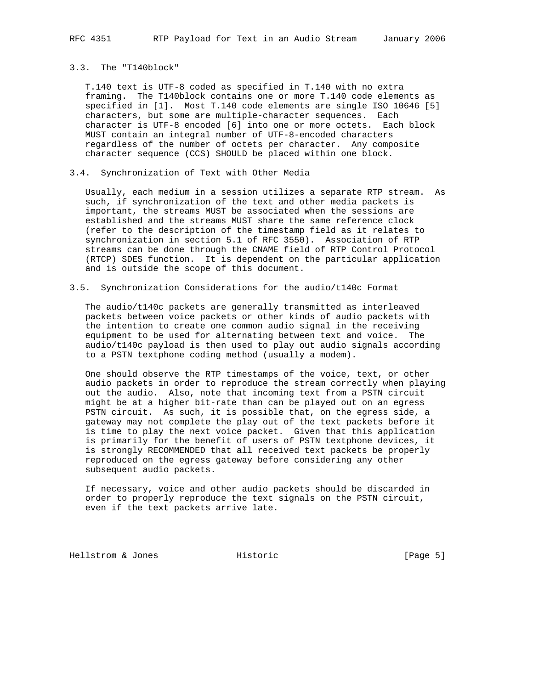#### 3.3. The "T140block"

 T.140 text is UTF-8 coded as specified in T.140 with no extra framing. The T140block contains one or more T.140 code elements as specified in [1]. Most T.140 code elements are single ISO 10646 [5] characters, but some are multiple-character sequences. Each character is UTF-8 encoded [6] into one or more octets. Each block MUST contain an integral number of UTF-8-encoded characters regardless of the number of octets per character. Any composite character sequence (CCS) SHOULD be placed within one block.

# 3.4. Synchronization of Text with Other Media

 Usually, each medium in a session utilizes a separate RTP stream. As such, if synchronization of the text and other media packets is important, the streams MUST be associated when the sessions are established and the streams MUST share the same reference clock (refer to the description of the timestamp field as it relates to synchronization in section 5.1 of RFC 3550). Association of RTP streams can be done through the CNAME field of RTP Control Protocol (RTCP) SDES function. It is dependent on the particular application and is outside the scope of this document.

#### 3.5. Synchronization Considerations for the audio/t140c Format

 The audio/t140c packets are generally transmitted as interleaved packets between voice packets or other kinds of audio packets with the intention to create one common audio signal in the receiving equipment to be used for alternating between text and voice. The audio/t140c payload is then used to play out audio signals according to a PSTN textphone coding method (usually a modem).

 One should observe the RTP timestamps of the voice, text, or other audio packets in order to reproduce the stream correctly when playing out the audio. Also, note that incoming text from a PSTN circuit might be at a higher bit-rate than can be played out on an egress PSTN circuit. As such, it is possible that, on the egress side, a gateway may not complete the play out of the text packets before it is time to play the next voice packet. Given that this application is primarily for the benefit of users of PSTN textphone devices, it is strongly RECOMMENDED that all received text packets be properly reproduced on the egress gateway before considering any other subsequent audio packets.

 If necessary, voice and other audio packets should be discarded in order to properly reproduce the text signals on the PSTN circuit, even if the text packets arrive late.

Hellstrom & Jones Historic [Page 5]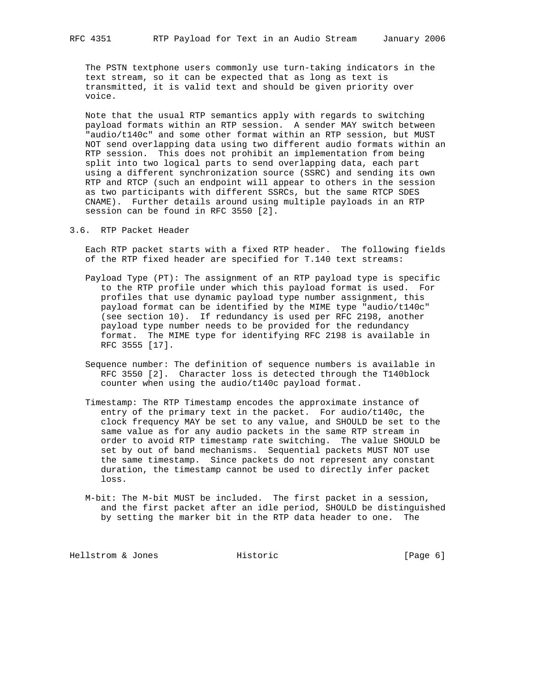The PSTN textphone users commonly use turn-taking indicators in the text stream, so it can be expected that as long as text is transmitted, it is valid text and should be given priority over voice.

 Note that the usual RTP semantics apply with regards to switching payload formats within an RTP session. A sender MAY switch between "audio/t140c" and some other format within an RTP session, but MUST NOT send overlapping data using two different audio formats within an RTP session. This does not prohibit an implementation from being split into two logical parts to send overlapping data, each part using a different synchronization source (SSRC) and sending its own RTP and RTCP (such an endpoint will appear to others in the session as two participants with different SSRCs, but the same RTCP SDES CNAME). Further details around using multiple payloads in an RTP session can be found in RFC 3550 [2].

3.6. RTP Packet Header

 Each RTP packet starts with a fixed RTP header. The following fields of the RTP fixed header are specified for T.140 text streams:

- Payload Type (PT): The assignment of an RTP payload type is specific to the RTP profile under which this payload format is used. For profiles that use dynamic payload type number assignment, this payload format can be identified by the MIME type "audio/t140c" (see section 10). If redundancy is used per RFC 2198, another payload type number needs to be provided for the redundancy format. The MIME type for identifying RFC 2198 is available in RFC 3555 [17].
- Sequence number: The definition of sequence numbers is available in RFC 3550 [2]. Character loss is detected through the T140block counter when using the audio/t140c payload format.
- Timestamp: The RTP Timestamp encodes the approximate instance of entry of the primary text in the packet. For audio/t140c, the clock frequency MAY be set to any value, and SHOULD be set to the same value as for any audio packets in the same RTP stream in order to avoid RTP timestamp rate switching. The value SHOULD be set by out of band mechanisms. Sequential packets MUST NOT use the same timestamp. Since packets do not represent any constant duration, the timestamp cannot be used to directly infer packet loss.
- M-bit: The M-bit MUST be included. The first packet in a session, and the first packet after an idle period, SHOULD be distinguished by setting the marker bit in the RTP data header to one. The

Hellstrom & Jones Historic [Page 6]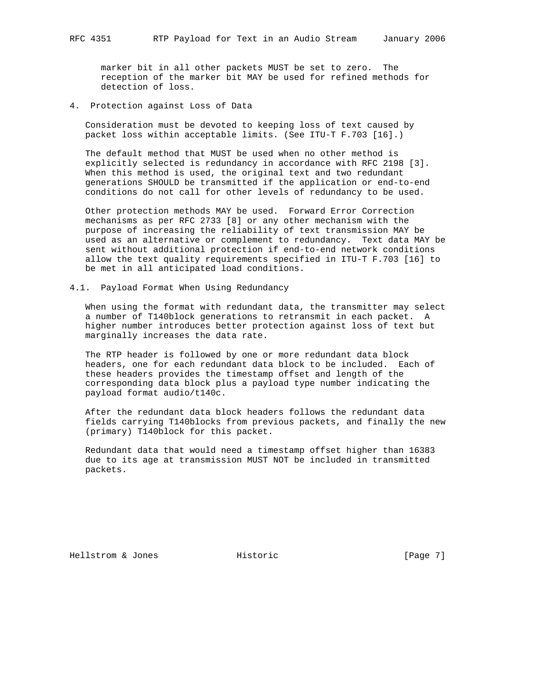marker bit in all other packets MUST be set to zero. The reception of the marker bit MAY be used for refined methods for detection of loss.

4. Protection against Loss of Data

 Consideration must be devoted to keeping loss of text caused by packet loss within acceptable limits. (See ITU-T F.703 [16].)

 The default method that MUST be used when no other method is explicitly selected is redundancy in accordance with RFC 2198 [3]. When this method is used, the original text and two redundant generations SHOULD be transmitted if the application or end-to-end conditions do not call for other levels of redundancy to be used.

 Other protection methods MAY be used. Forward Error Correction mechanisms as per RFC 2733 [8] or any other mechanism with the purpose of increasing the reliability of text transmission MAY be used as an alternative or complement to redundancy. Text data MAY be sent without additional protection if end-to-end network conditions allow the text quality requirements specified in ITU-T F.703 [16] to be met in all anticipated load conditions.

4.1. Payload Format When Using Redundancy

 When using the format with redundant data, the transmitter may select a number of T140block generations to retransmit in each packet. A higher number introduces better protection against loss of text but marginally increases the data rate.

 The RTP header is followed by one or more redundant data block headers, one for each redundant data block to be included. Each of these headers provides the timestamp offset and length of the corresponding data block plus a payload type number indicating the payload format audio/t140c.

 After the redundant data block headers follows the redundant data fields carrying T140blocks from previous packets, and finally the new (primary) T140block for this packet.

 Redundant data that would need a timestamp offset higher than 16383 due to its age at transmission MUST NOT be included in transmitted packets.

Hellstrom & Jones Historic [Page 7]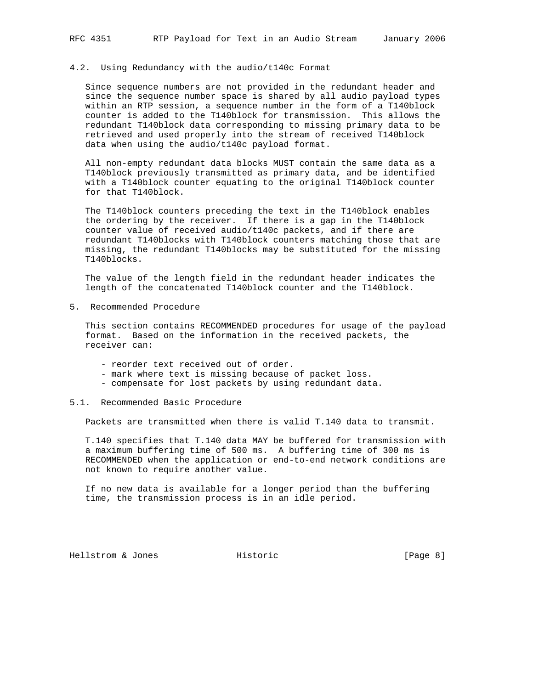#### 4.2. Using Redundancy with the audio/t140c Format

 Since sequence numbers are not provided in the redundant header and since the sequence number space is shared by all audio payload types within an RTP session, a sequence number in the form of a T140block counter is added to the T140block for transmission. This allows the redundant T140block data corresponding to missing primary data to be retrieved and used properly into the stream of received T140block data when using the audio/t140c payload format.

 All non-empty redundant data blocks MUST contain the same data as a T140block previously transmitted as primary data, and be identified with a T140block counter equating to the original T140block counter for that T140block.

 The T140block counters preceding the text in the T140block enables the ordering by the receiver. If there is a gap in the T140block counter value of received audio/t140c packets, and if there are redundant T140blocks with T140block counters matching those that are missing, the redundant T140blocks may be substituted for the missing T140blocks.

 The value of the length field in the redundant header indicates the length of the concatenated T140block counter and the T140block.

5. Recommended Procedure

 This section contains RECOMMENDED procedures for usage of the payload format. Based on the information in the received packets, the receiver can:

- reorder text received out of order.
- mark where text is missing because of packet loss.
- compensate for lost packets by using redundant data.

#### 5.1. Recommended Basic Procedure

Packets are transmitted when there is valid T.140 data to transmit.

 T.140 specifies that T.140 data MAY be buffered for transmission with a maximum buffering time of 500 ms. A buffering time of 300 ms is RECOMMENDED when the application or end-to-end network conditions are not known to require another value.

 If no new data is available for a longer period than the buffering time, the transmission process is in an idle period.

Hellstrom & Jones **Historic Historic** [Page 8]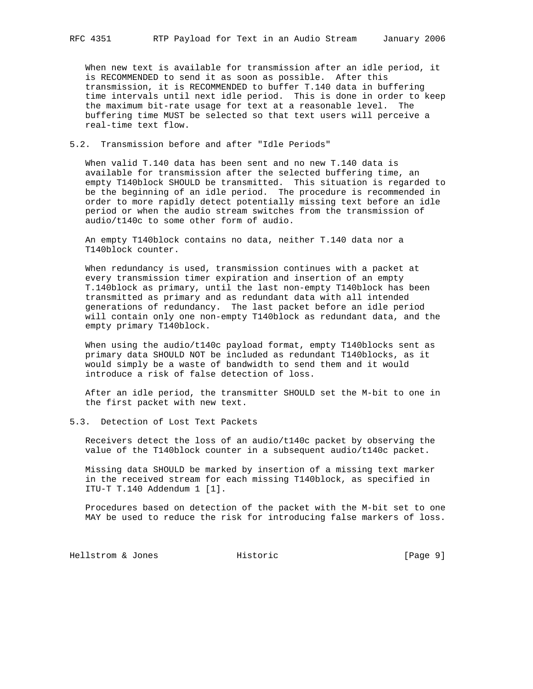When new text is available for transmission after an idle period, it is RECOMMENDED to send it as soon as possible. After this transmission, it is RECOMMENDED to buffer T.140 data in buffering time intervals until next idle period. This is done in order to keep the maximum bit-rate usage for text at a reasonable level. The buffering time MUST be selected so that text users will perceive a real-time text flow.

## 5.2. Transmission before and after "Idle Periods"

 When valid T.140 data has been sent and no new T.140 data is available for transmission after the selected buffering time, an empty T140block SHOULD be transmitted. This situation is regarded to be the beginning of an idle period. The procedure is recommended in order to more rapidly detect potentially missing text before an idle period or when the audio stream switches from the transmission of audio/t140c to some other form of audio.

 An empty T140block contains no data, neither T.140 data nor a T140block counter.

 When redundancy is used, transmission continues with a packet at every transmission timer expiration and insertion of an empty T.140block as primary, until the last non-empty T140block has been transmitted as primary and as redundant data with all intended generations of redundancy. The last packet before an idle period will contain only one non-empty T140block as redundant data, and the empty primary T140block.

 When using the audio/t140c payload format, empty T140blocks sent as primary data SHOULD NOT be included as redundant T140blocks, as it would simply be a waste of bandwidth to send them and it would introduce a risk of false detection of loss.

 After an idle period, the transmitter SHOULD set the M-bit to one in the first packet with new text.

#### 5.3. Detection of Lost Text Packets

 Receivers detect the loss of an audio/t140c packet by observing the value of the T140block counter in a subsequent audio/t140c packet.

 Missing data SHOULD be marked by insertion of a missing text marker in the received stream for each missing T140block, as specified in ITU-T T.140 Addendum 1 [1].

 Procedures based on detection of the packet with the M-bit set to one MAY be used to reduce the risk for introducing false markers of loss.

Hellstrom & Jones Historic [Page 9]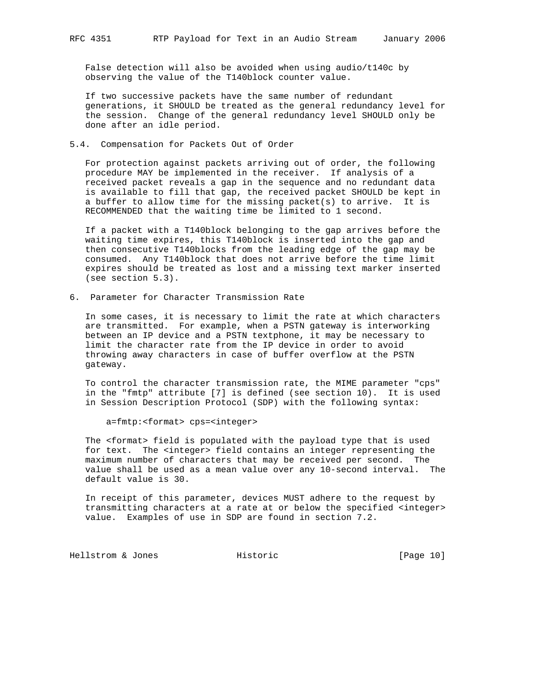False detection will also be avoided when using audio/t140c by observing the value of the T140block counter value.

 If two successive packets have the same number of redundant generations, it SHOULD be treated as the general redundancy level for the session. Change of the general redundancy level SHOULD only be done after an idle period.

#### 5.4. Compensation for Packets Out of Order

 For protection against packets arriving out of order, the following procedure MAY be implemented in the receiver. If analysis of a received packet reveals a gap in the sequence and no redundant data is available to fill that gap, the received packet SHOULD be kept in a buffer to allow time for the missing packet(s) to arrive. It is RECOMMENDED that the waiting time be limited to 1 second.

 If a packet with a T140block belonging to the gap arrives before the waiting time expires, this T140block is inserted into the gap and then consecutive T140blocks from the leading edge of the gap may be consumed. Any T140block that does not arrive before the time limit expires should be treated as lost and a missing text marker inserted (see section 5.3).

6. Parameter for Character Transmission Rate

 In some cases, it is necessary to limit the rate at which characters are transmitted. For example, when a PSTN gateway is interworking between an IP device and a PSTN textphone, it may be necessary to limit the character rate from the IP device in order to avoid throwing away characters in case of buffer overflow at the PSTN gateway.

 To control the character transmission rate, the MIME parameter "cps" in the "fmtp" attribute [7] is defined (see section 10). It is used in Session Description Protocol (SDP) with the following syntax:

a=fmtp:<format> cps=<integer>

 The <format> field is populated with the payload type that is used for text. The <integer> field contains an integer representing the maximum number of characters that may be received per second. The value shall be used as a mean value over any 10-second interval. The default value is 30.

 In receipt of this parameter, devices MUST adhere to the request by transmitting characters at a rate at or below the specified <integer> value. Examples of use in SDP are found in section 7.2.

Hellstrom & Jones Historic File (Page 10)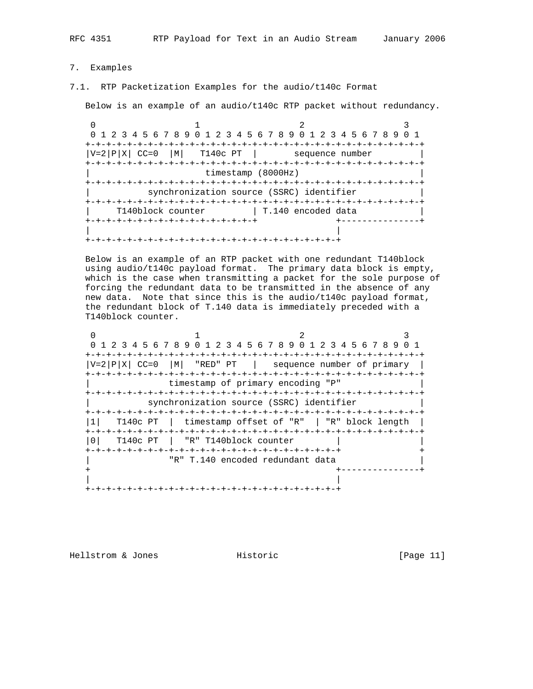RFC 4351 RTP Payload for Text in an Audio Stream January 2006

- 
- 7. Examples
- 7.1. RTP Packetization Examples for the audio/t140c Format

Below is an example of an audio/t140c RTP packet without redundancy.

0  $1$  2 3 0 1 2 3 4 5 6 7 8 9 0 1 2 3 4 5 6 7 8 9 0 1 2 3 4 5 6 7 8 9 0 1 +-+-+-+-+-+-+-+-+-+-+-+-+-+-+-+-+-+-+-+-+-+-+-+-+-+-+-+-+-+-+-+-+  $|V=2|P|X|$  CC=0  $|M|$  T140c PT | sequence number +-+-+-+-+-+-+-+-+-+-+-+-+-+-+-+-+-+-+-+-+-+-+-+-+-+-+-+-+-+-+-+-+ timestamp (8000Hz) +-+-+-+-+-+-+-+-+-+-+-+-+-+-+-+-+-+-+-+-+-+-+-+-+-+-+-+-+-+-+-+-+ synchronization source (SSRC) identifier +-+-+-+-+-+-+-+-+-+-+-+-+-+-+-+-+-+-+-+-+-+-+-+-+-+-+-+-+-+-+-+-+ T140block counter | T.140 encoded data +-+-+-+-+-+-+-+-+-+-+-+-+-+-+-+-+ +---------------+ | | +-+-+-+-+-+-+-+-+-+-+-+-+-+-+-+-+-+-+-+-+-+-+-+-+

 Below is an example of an RTP packet with one redundant T140block using audio/t140c payload format. The primary data block is empty, which is the case when transmitting a packet for the sole purpose of forcing the redundant data to be transmitted in the absence of any new data. Note that since this is the audio/t140c payload format, the redundant block of T.140 data is immediately preceded with a T140block counter.

| 0 1 2 3 4 5 6 7 8 9 0 1 2 3 4 5 6 7 8 9 0 1 2 3 4 5 6 7 8 9 0 1 |  |  |
|-----------------------------------------------------------------|--|--|
|                                                                 |  |  |
| $ V=2 P X $ CC=0 $ M $ "RED" PT   sequence number of primary    |  |  |
|                                                                 |  |  |
| timestamp of primary encoding "P"                               |  |  |
|                                                                 |  |  |
| synchronization source (SSRC) identifier                        |  |  |
|                                                                 |  |  |
| T140c PT   timestamp offset of "R"   "R" block length           |  |  |
| T140c PT   "R" T140block counter                                |  |  |
|                                                                 |  |  |
| "R" T.140 encoded redundant data                                |  |  |
|                                                                 |  |  |
|                                                                 |  |  |
|                                                                 |  |  |

Hellstrom & Jones Historic [Page 11]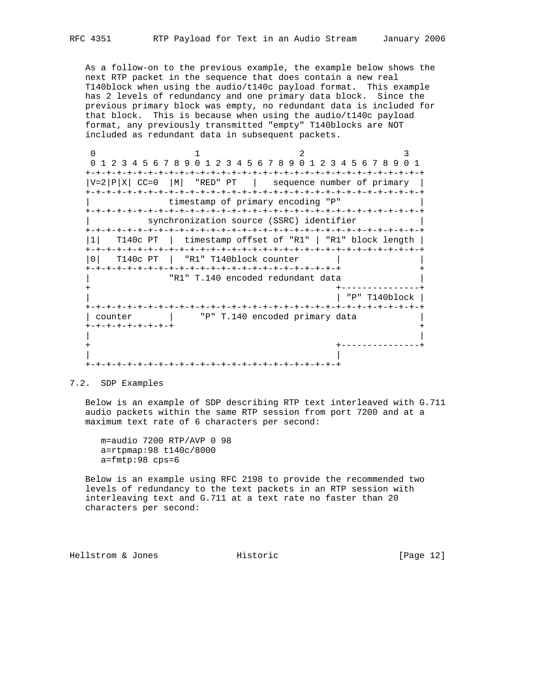As a follow-on to the previous example, the example below shows the next RTP packet in the sequence that does contain a new real T140block when using the audio/t140c payload format. This example has 2 levels of redundancy and one primary data block. Since the previous primary block was empty, no redundant data is included for that block. This is because when using the audio/t140c payload format, any previously transmitted "empty" T140blocks are NOT included as redundant data in subsequent packets.

0  $1$  2 3 0 1 2 3 4 5 6 7 8 9 0 1 2 3 4 5 6 7 8 9 0 1 2 3 4 5 6 7 8 9 0 1 +-+-+-+-+-+-+-+-+-+-+-+-+-+-+-+-+-+-+-+-+-+-+-+-+-+-+-+-+-+-+-+-+  $|V=2|P|X|$  CC=0  $|M|$  "RED" PT | sequence number of primary | +-+-+-+-+-+-+-+-+-+-+-+-+-+-+-+-+-+-+-+-+-+-+-+-+-+-+-+-+-+-+-+-+ timestamp of primary encoding "P" +-+-+-+-+-+-+-+-+-+-+-+-+-+-+-+-+-+-+-+-+-+-+-+-+-+-+-+-+-+-+-+-+ synchronization source (SSRC) identifier +-+-+-+-+-+-+-+-+-+-+-+-+-+-+-+-+-+-+-+-+-+-+-+-+-+-+-+-+-+-+-+-+ |1| T140c PT | timestamp offset of "R1" | "R1" block length | +-+-+-+-+-+-+-+-+-+-+-+-+-+-+-+-+-+-+-+-+-+-+-+-+-+-+-+-+-+-+-+-+ |0| T140c PT | "R1" T140block counter | | +-+-+-+-+-+-+-+-+-+-+-+-+-+-+-+-+-+-+-+-+-+-+-+-+ + "R1" T.140 encoded redundant data + +---------------+ | | "P" T140block | +-+-+-+-+-+-+-+-+-+-+-+-+-+-+-+-+-+-+-+-+-+-+-+-+-+-+-+-+-+-+-+-+ | counter  $|$  "P" T.140 encoded primary data  $|$  +-+-+-+-+-+-+-+-+ + | | + +---------------+ | | +-+-+-+-+-+-+-+-+-+-+-+-+-+-+-+-+-+-+-+-+-+-+-+-+

7.2. SDP Examples

 Below is an example of SDP describing RTP text interleaved with G.711 audio packets within the same RTP session from port 7200 and at a maximum text rate of 6 characters per second:

 m=audio 7200 RTP/AVP 0 98 a=rtpmap:98 t140c/8000 a=fmtp:98 cps=6

 Below is an example using RFC 2198 to provide the recommended two levels of redundancy to the text packets in an RTP session with interleaving text and G.711 at a text rate no faster than 20 characters per second:

Hellstrom & Jones **Historic** Historic [Page 12]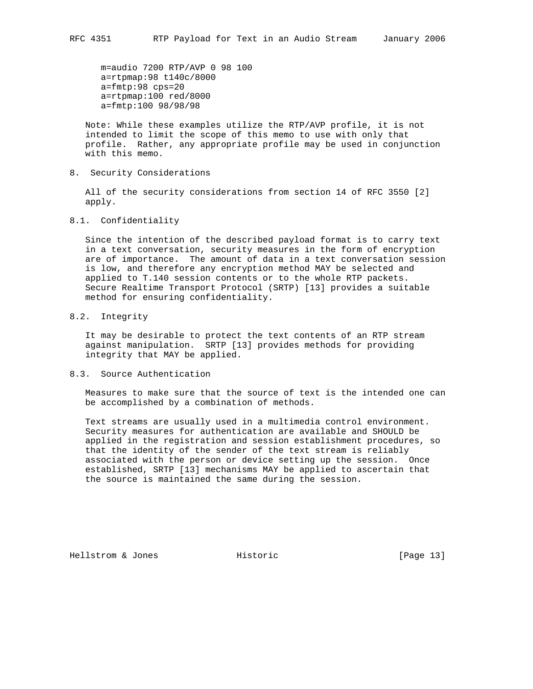m=audio 7200 RTP/AVP 0 98 100 a=rtpmap:98 t140c/8000 a=fmtp:98 cps=20 a=rtpmap:100 red/8000 a=fmtp:100 98/98/98

 Note: While these examples utilize the RTP/AVP profile, it is not intended to limit the scope of this memo to use with only that profile. Rather, any appropriate profile may be used in conjunction with this memo.

8. Security Considerations

 All of the security considerations from section 14 of RFC 3550 [2] apply.

8.1. Confidentiality

 Since the intention of the described payload format is to carry text in a text conversation, security measures in the form of encryption are of importance. The amount of data in a text conversation session is low, and therefore any encryption method MAY be selected and applied to T.140 session contents or to the whole RTP packets. Secure Realtime Transport Protocol (SRTP) [13] provides a suitable method for ensuring confidentiality.

8.2. Integrity

 It may be desirable to protect the text contents of an RTP stream against manipulation. SRTP [13] provides methods for providing integrity that MAY be applied.

8.3. Source Authentication

 Measures to make sure that the source of text is the intended one can be accomplished by a combination of methods.

 Text streams are usually used in a multimedia control environment. Security measures for authentication are available and SHOULD be applied in the registration and session establishment procedures, so that the identity of the sender of the text stream is reliably associated with the person or device setting up the session. Once established, SRTP [13] mechanisms MAY be applied to ascertain that the source is maintained the same during the session.

Hellstrom & Jones Historic [Page 13]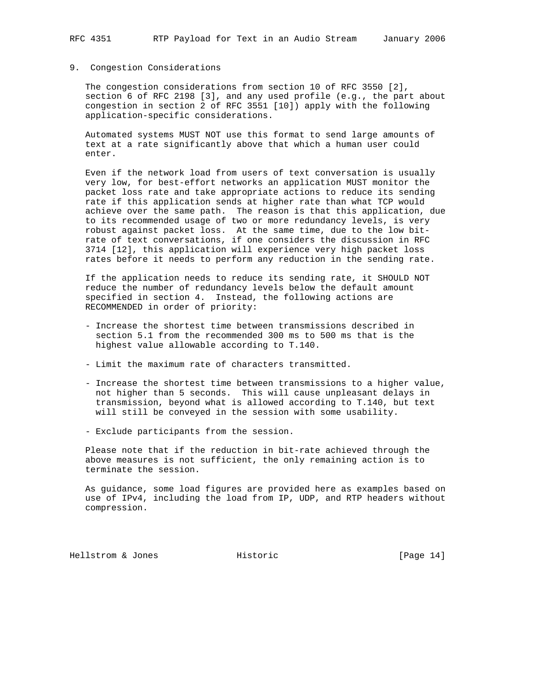## 9. Congestion Considerations

 The congestion considerations from section 10 of RFC 3550 [2], section 6 of RFC 2198 [3], and any used profile (e.g., the part about congestion in section 2 of RFC 3551 [10]) apply with the following application-specific considerations.

 Automated systems MUST NOT use this format to send large amounts of text at a rate significantly above that which a human user could enter.

 Even if the network load from users of text conversation is usually very low, for best-effort networks an application MUST monitor the packet loss rate and take appropriate actions to reduce its sending rate if this application sends at higher rate than what TCP would achieve over the same path. The reason is that this application, due to its recommended usage of two or more redundancy levels, is very robust against packet loss. At the same time, due to the low bit rate of text conversations, if one considers the discussion in RFC 3714 [12], this application will experience very high packet loss rates before it needs to perform any reduction in the sending rate.

 If the application needs to reduce its sending rate, it SHOULD NOT reduce the number of redundancy levels below the default amount specified in section 4. Instead, the following actions are RECOMMENDED in order of priority:

- Increase the shortest time between transmissions described in section 5.1 from the recommended 300 ms to 500 ms that is the highest value allowable according to T.140.
- Limit the maximum rate of characters transmitted.
- Increase the shortest time between transmissions to a higher value, not higher than 5 seconds. This will cause unpleasant delays in transmission, beyond what is allowed according to T.140, but text will still be conveyed in the session with some usability.
- Exclude participants from the session.

 Please note that if the reduction in bit-rate achieved through the above measures is not sufficient, the only remaining action is to terminate the session.

 As guidance, some load figures are provided here as examples based on use of IPv4, including the load from IP, UDP, and RTP headers without compression.

Hellstrom & Jones Historic [Page 14]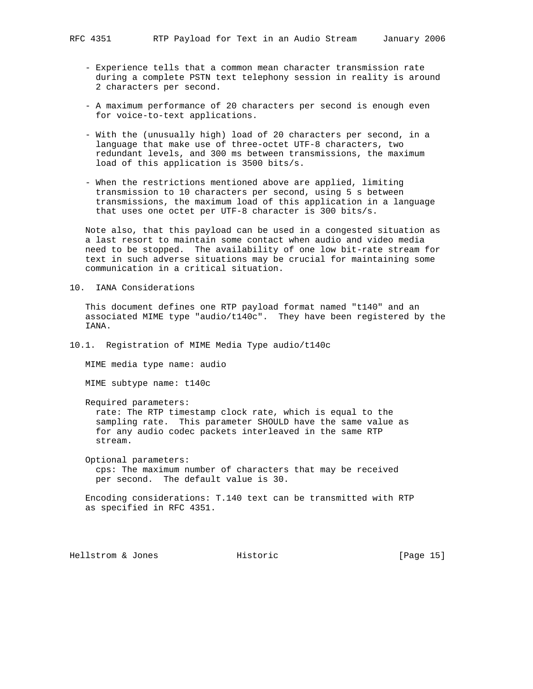- Experience tells that a common mean character transmission rate during a complete PSTN text telephony session in reality is around 2 characters per second.
- A maximum performance of 20 characters per second is enough even for voice-to-text applications.
- With the (unusually high) load of 20 characters per second, in a language that make use of three-octet UTF-8 characters, two redundant levels, and 300 ms between transmissions, the maximum load of this application is 3500 bits/s.
- When the restrictions mentioned above are applied, limiting transmission to 10 characters per second, using 5 s between transmissions, the maximum load of this application in a language that uses one octet per UTF-8 character is 300 bits/s.

 Note also, that this payload can be used in a congested situation as a last resort to maintain some contact when audio and video media need to be stopped. The availability of one low bit-rate stream for text in such adverse situations may be crucial for maintaining some communication in a critical situation.

10. IANA Considerations

 This document defines one RTP payload format named "t140" and an associated MIME type "audio/t140c". They have been registered by the IANA.

10.1. Registration of MIME Media Type audio/t140c

MIME media type name: audio

MIME subtype name: t140c

Required parameters:

 rate: The RTP timestamp clock rate, which is equal to the sampling rate. This parameter SHOULD have the same value as for any audio codec packets interleaved in the same RTP stream.

 Optional parameters: cps: The maximum number of characters that may be received per second. The default value is 30.

 Encoding considerations: T.140 text can be transmitted with RTP as specified in RFC 4351.

Hellstrom & Jones Historic [Page 15]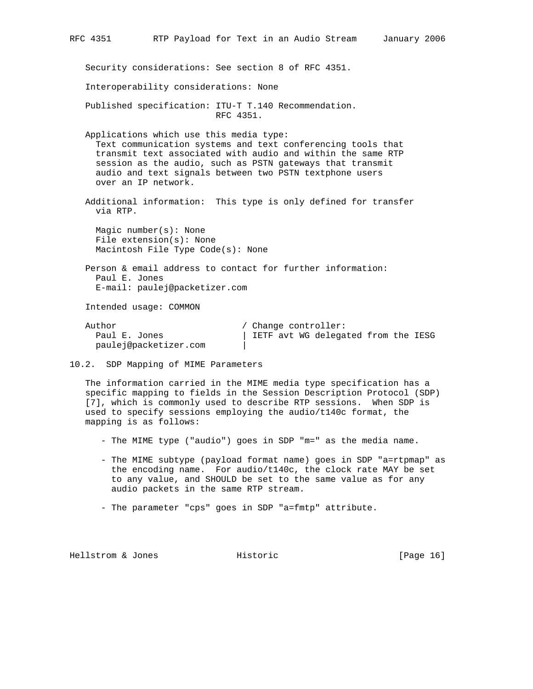| RFC 4351                                                                                                                                                                                                                                                                                                             | RTP Payload for Text in an Audio Stream                                                                      |                                                             |  | January 2006 |  |  |  |  |  |
|----------------------------------------------------------------------------------------------------------------------------------------------------------------------------------------------------------------------------------------------------------------------------------------------------------------------|--------------------------------------------------------------------------------------------------------------|-------------------------------------------------------------|--|--------------|--|--|--|--|--|
|                                                                                                                                                                                                                                                                                                                      | Security considerations: See section 8 of RFC 4351.                                                          |                                                             |  |              |  |  |  |  |  |
|                                                                                                                                                                                                                                                                                                                      | Interoperability considerations: None                                                                        |                                                             |  |              |  |  |  |  |  |
|                                                                                                                                                                                                                                                                                                                      | Published specification: ITU-T T.140 Recommendation.<br>RFC 4351.                                            |                                                             |  |              |  |  |  |  |  |
| Applications which use this media type:<br>Text communication systems and text conferencing tools that<br>transmit text associated with audio and within the same RTP<br>session as the audio, such as PSTN gateways that transmit<br>audio and text signals between two PSTN textphone users<br>over an IP network. |                                                                                                              |                                                             |  |              |  |  |  |  |  |
|                                                                                                                                                                                                                                                                                                                      | Additional information: This type is only defined for transfer<br>via RTP.                                   |                                                             |  |              |  |  |  |  |  |
|                                                                                                                                                                                                                                                                                                                      | Magic number( $s$ ): None<br>File $extension(s):$ None<br>Macintosh File Type Code(s): None                  |                                                             |  |              |  |  |  |  |  |
|                                                                                                                                                                                                                                                                                                                      | Person & email address to contact for further information:<br>Paul E. Jones<br>E-mail: paulej@packetizer.com |                                                             |  |              |  |  |  |  |  |
|                                                                                                                                                                                                                                                                                                                      | Intended usage: COMMON                                                                                       |                                                             |  |              |  |  |  |  |  |
| Author<br>Paul E. Jones                                                                                                                                                                                                                                                                                              | paulej@packetizer.com                                                                                        | / Change controller:<br>IETF avt WG delegated from the IESG |  |              |  |  |  |  |  |

10.2. SDP Mapping of MIME Parameters

 The information carried in the MIME media type specification has a specific mapping to fields in the Session Description Protocol (SDP) [7], which is commonly used to describe RTP sessions. When SDP is used to specify sessions employing the audio/t140c format, the mapping is as follows:

- The MIME type ("audio") goes in SDP "m=" as the media name.
- The MIME subtype (payload format name) goes in SDP "a=rtpmap" as the encoding name. For audio/t140c, the clock rate MAY be set to any value, and SHOULD be set to the same value as for any audio packets in the same RTP stream.
- The parameter "cps" goes in SDP "a=fmtp" attribute.

Hellstrom & Jones Historic [Page 16]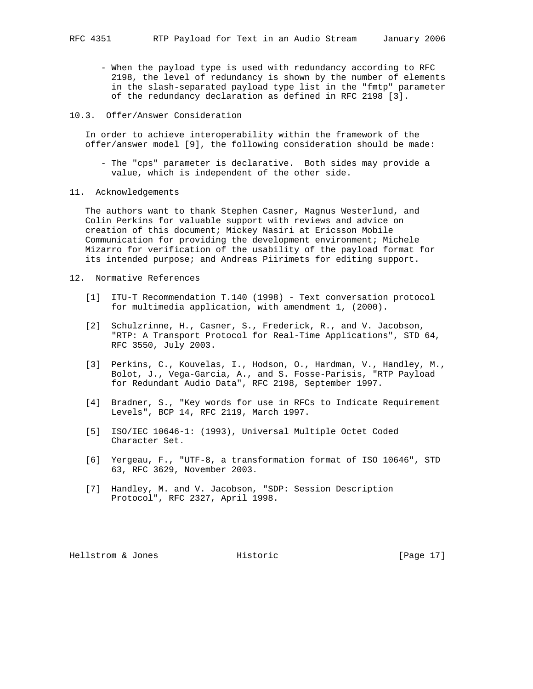- When the payload type is used with redundancy according to RFC 2198, the level of redundancy is shown by the number of elements in the slash-separated payload type list in the "fmtp" parameter of the redundancy declaration as defined in RFC 2198 [3].
- 10.3. Offer/Answer Consideration

 In order to achieve interoperability within the framework of the offer/answer model [9], the following consideration should be made:

- The "cps" parameter is declarative. Both sides may provide a value, which is independent of the other side.
- 11. Acknowledgements

 The authors want to thank Stephen Casner, Magnus Westerlund, and Colin Perkins for valuable support with reviews and advice on creation of this document; Mickey Nasiri at Ericsson Mobile Communication for providing the development environment; Michele Mizarro for verification of the usability of the payload format for its intended purpose; and Andreas Piirimets for editing support.

- 12. Normative References
	- [1] ITU-T Recommendation T.140 (1998) Text conversation protocol for multimedia application, with amendment 1, (2000).
	- [2] Schulzrinne, H., Casner, S., Frederick, R., and V. Jacobson, "RTP: A Transport Protocol for Real-Time Applications", STD 64, RFC 3550, July 2003.
	- [3] Perkins, C., Kouvelas, I., Hodson, O., Hardman, V., Handley, M., Bolot, J., Vega-Garcia, A., and S. Fosse-Parisis, "RTP Payload for Redundant Audio Data", RFC 2198, September 1997.
	- [4] Bradner, S., "Key words for use in RFCs to Indicate Requirement Levels", BCP 14, RFC 2119, March 1997.
	- [5] ISO/IEC 10646-1: (1993), Universal Multiple Octet Coded Character Set.
	- [6] Yergeau, F., "UTF-8, a transformation format of ISO 10646", STD 63, RFC 3629, November 2003.
	- [7] Handley, M. and V. Jacobson, "SDP: Session Description Protocol", RFC 2327, April 1998.

Hellstrom & Jones Historic [Page 17]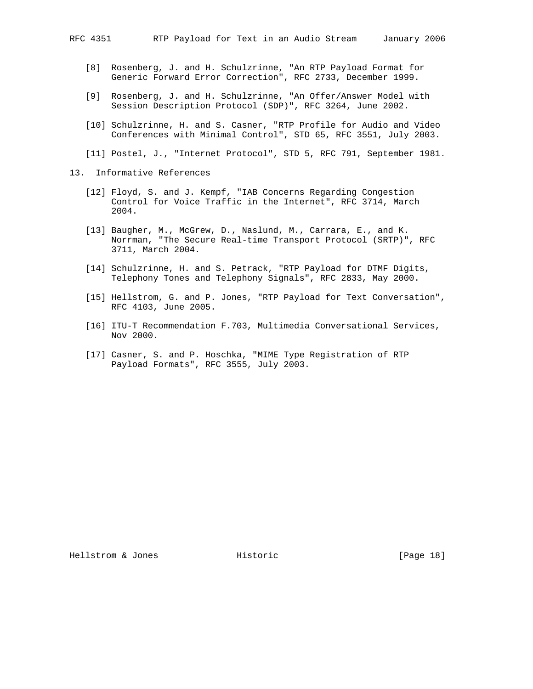- [8] Rosenberg, J. and H. Schulzrinne, "An RTP Payload Format for Generic Forward Error Correction", RFC 2733, December 1999.
- [9] Rosenberg, J. and H. Schulzrinne, "An Offer/Answer Model with Session Description Protocol (SDP)", RFC 3264, June 2002.
- [10] Schulzrinne, H. and S. Casner, "RTP Profile for Audio and Video Conferences with Minimal Control", STD 65, RFC 3551, July 2003.

[11] Postel, J., "Internet Protocol", STD 5, RFC 791, September 1981.

- 13. Informative References
	- [12] Floyd, S. and J. Kempf, "IAB Concerns Regarding Congestion Control for Voice Traffic in the Internet", RFC 3714, March 2004.
	- [13] Baugher, M., McGrew, D., Naslund, M., Carrara, E., and K. Norrman, "The Secure Real-time Transport Protocol (SRTP)", RFC 3711, March 2004.
	- [14] Schulzrinne, H. and S. Petrack, "RTP Payload for DTMF Digits, Telephony Tones and Telephony Signals", RFC 2833, May 2000.
	- [15] Hellstrom, G. and P. Jones, "RTP Payload for Text Conversation", RFC 4103, June 2005.
	- [16] ITU-T Recommendation F.703, Multimedia Conversational Services, Nov 2000.
	- [17] Casner, S. and P. Hoschka, "MIME Type Registration of RTP Payload Formats", RFC 3555, July 2003.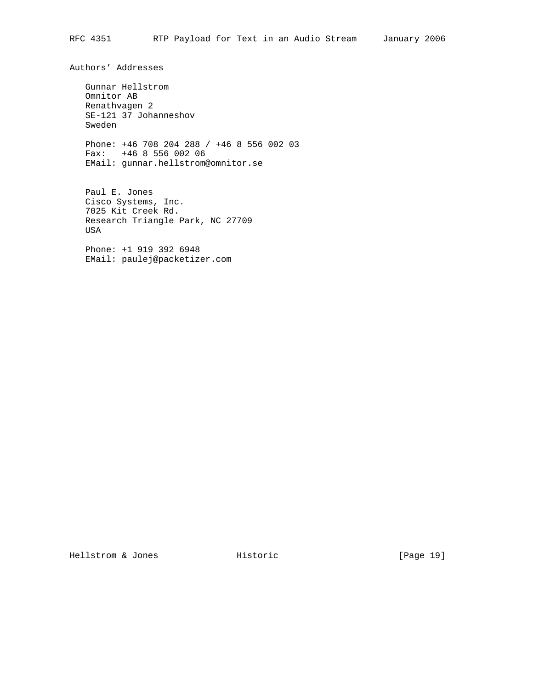Authors' Addresses Gunnar Hellstrom Omnitor AB Renathvagen 2 SE-121 37 Johanneshov Sweden Phone: +46 708 204 288 / +46 8 556 002 03 Fax: +46 8 556 002 06 EMail: gunnar.hellstrom@omnitor.se Paul E. Jones Cisco Systems, Inc. 7025 Kit Creek Rd. Research Triangle Park, NC 27709 USA

 Phone: +1 919 392 6948 EMail: paulej@packetizer.com